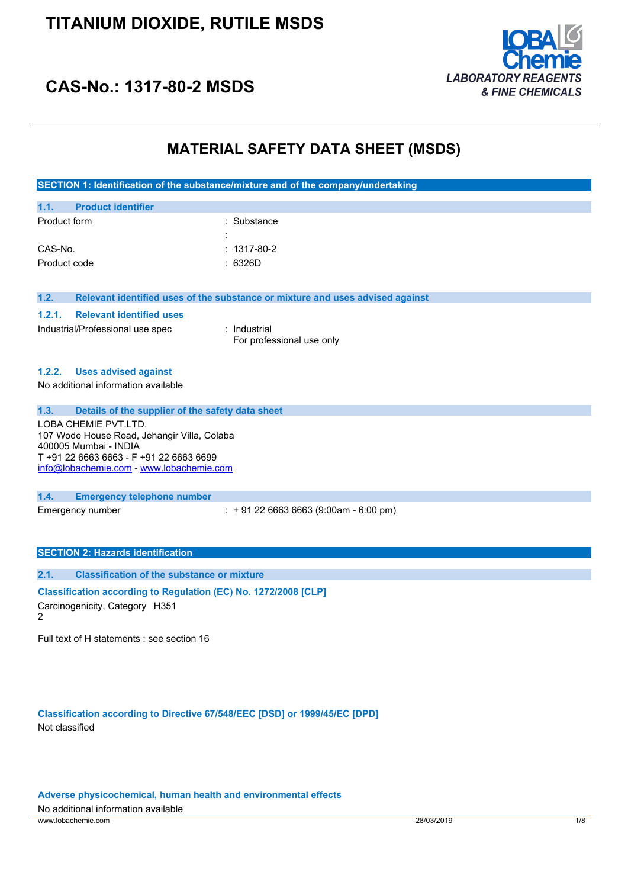

## **CAS-No.: 1317-80-2 MSDS**

## **MATERIAL SAFETY DATA SHEET (MSDS)**

| SECTION 1: Identification of the substance/mixture and of the company/undertaking |
|-----------------------------------------------------------------------------------|
|-----------------------------------------------------------------------------------|

| 1.1.         | <b>Product identifier</b> |                     |                   |
|--------------|---------------------------|---------------------|-------------------|
| Product form |                           |                     | : Substance       |
|              |                           | ٠<br>$\blacksquare$ |                   |
| CAS-No.      |                           |                     | $: 1317 - 80 - 2$ |
| Product code |                           |                     | : 6326D           |

**1.2. Relevant identified uses of the substance or mixture and uses advised against**

#### **1.2.1. Relevant identified uses**

Industrial/Professional use spec : Industrial

For professional use only

#### **1.2.2. Uses advised against**

No additional information available

### **1.3. Details of the supplier of the safety data sheet**

LOBA CHEMIE PVT.LTD. 107 Wode House Road, Jehangir Villa, Colaba 400005 Mumbai - INDIA T +91 22 6663 6663 - F +91 22 6663 6699 [info@lobachemie.com](mailto:info@lobachemie.com) - <www.lobachemie.com>

### **1.4. Emergency telephone number**

Emergency number : + 91 22 6663 6663 (9:00am - 6:00 pm)

## **SECTION 2: Hazards identification**

## **2.1. Classification of the substance or mixture Classification according to Regulation (EC) No. 1272/2008 [CLP]** Carcinogenicity, Category H351

 $\mathfrak{p}$ 

Full text of H statements : see section 16

**Classification according to Directive 67/548/EEC [DSD] or 1999/45/EC [DPD]** Not classified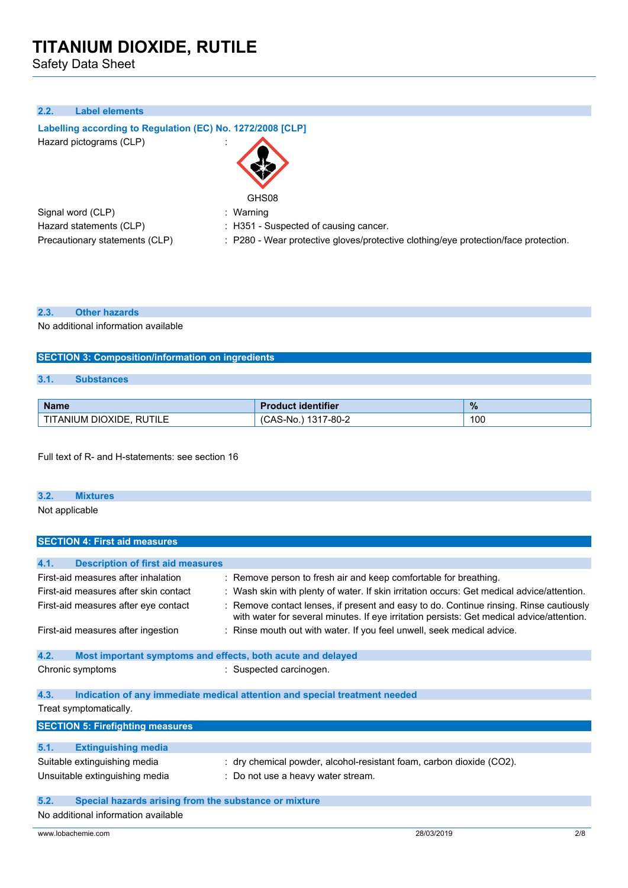Safety Data Sheet

## **2.2. Label elements**

**Labelling according to** Regulation (EC) No. 1272/2008 [CLP] Hazard pictograms (CLP) in the state of the state of the state of the state of the state of the state of the state of the state of the state of the state of the state of the state of the state of the state of the state of



: Warning

| Signal word (CLP)              |
|--------------------------------|
| Hazard statements (CLP)        |
| Precautionary statements (CLP) |

- : H351 Suspected of causing cancer.
- : P280 Wear protective gloves/protective clothing/eye protection/face protection.

#### **2.3. Other hazards**

No additional information available

### **SECTION 3: Composition/information on ingredients**

## **3.1. Substances**

| <b>Name</b>                             | uct identifier<br><b>AUCL</b>  | $\%$ |
|-----------------------------------------|--------------------------------|------|
| ' DIOXIDE.<br><b>RUTILE</b><br>TANIUM I | $7 - 80 - 2$<br>A C<br>CAS-No. | 100  |

Full text of R- and H-statements: see section 16

#### **3.2. Mixtures**

Not applicable

| <b>SECTION 4: First aid measures</b>                                |                                                                                                                                                                                     |  |  |
|---------------------------------------------------------------------|-------------------------------------------------------------------------------------------------------------------------------------------------------------------------------------|--|--|
|                                                                     |                                                                                                                                                                                     |  |  |
| 4.1.<br><b>Description of first aid measures</b>                    |                                                                                                                                                                                     |  |  |
| First-aid measures after inhalation                                 | : Remove person to fresh air and keep comfortable for breathing.                                                                                                                    |  |  |
| First-aid measures after skin contact                               | : Wash skin with plenty of water. If skin irritation occurs: Get medical advice/attention.                                                                                          |  |  |
| First-aid measures after eye contact                                | : Remove contact lenses, if present and easy to do. Continue rinsing. Rinse cautiously<br>with water for several minutes. If eye irritation persists: Get medical advice/attention. |  |  |
| First-aid measures after ingestion                                  | : Rinse mouth out with water. If you feel unwell, seek medical advice.                                                                                                              |  |  |
| 4.2.<br>Most important symptoms and effects, both acute and delayed |                                                                                                                                                                                     |  |  |
| Chronic symptoms                                                    | : Suspected carcinogen.                                                                                                                                                             |  |  |
| 4.3.                                                                | Indication of any immediate medical attention and special treatment needed                                                                                                          |  |  |
| Treat symptomatically.                                              |                                                                                                                                                                                     |  |  |
| <b>SECTION 5: Firefighting measures</b>                             |                                                                                                                                                                                     |  |  |
| 5.1.<br><b>Extinguishing media</b>                                  |                                                                                                                                                                                     |  |  |
| Suitable extinguishing media                                        | : dry chemical powder, alcohol-resistant foam, carbon dioxide (CO2).                                                                                                                |  |  |
| Unsuitable extinguishing media                                      | : Do not use a heavy water stream.                                                                                                                                                  |  |  |
| 5.2.<br>Special hazards arising from the substance or mixture       |                                                                                                                                                                                     |  |  |
| No additional information available                                 |                                                                                                                                                                                     |  |  |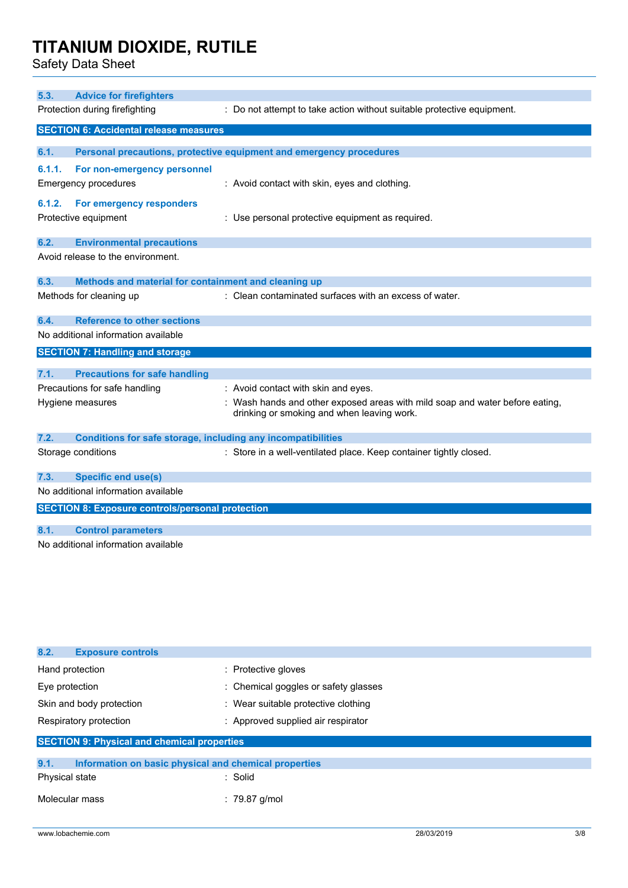Safety Data Sheet

| 5.3.   | <b>Advice for firefighters</b>                                      |                                                                              |  |
|--------|---------------------------------------------------------------------|------------------------------------------------------------------------------|--|
|        | Protection during firefighting                                      | : Do not attempt to take action without suitable protective equipment.       |  |
|        | <b>SECTION 6: Accidental release measures</b>                       |                                                                              |  |
|        |                                                                     |                                                                              |  |
| 6.1.   |                                                                     | Personal precautions, protective equipment and emergency procedures          |  |
| 6.1.1. | For non-emergency personnel                                         |                                                                              |  |
|        | Emergency procedures                                                | : Avoid contact with skin, eyes and clothing.                                |  |
| 6.1.2. | For emergency responders                                            |                                                                              |  |
|        | Protective equipment                                                | : Use personal protective equipment as required.                             |  |
| 6.2.   | <b>Environmental precautions</b>                                    |                                                                              |  |
|        | Avoid release to the environment.                                   |                                                                              |  |
|        |                                                                     |                                                                              |  |
| 6.3.   | Methods and material for containment and cleaning up                |                                                                              |  |
|        | Methods for cleaning up                                             | : Clean contaminated surfaces with an excess of water.                       |  |
| 6.4.   | <b>Reference to other sections</b>                                  |                                                                              |  |
|        | No additional information available                                 |                                                                              |  |
|        | <b>SECTION 7: Handling and storage</b>                              |                                                                              |  |
| 7.1.   | <b>Precautions for safe handling</b>                                |                                                                              |  |
|        | Precautions for safe handling                                       | : Avoid contact with skin and eyes.                                          |  |
|        | Hygiene measures                                                    | : Wash hands and other exposed areas with mild soap and water before eating, |  |
|        |                                                                     | drinking or smoking and when leaving work.                                   |  |
| 7.2.   | <b>Conditions for safe storage, including any incompatibilities</b> |                                                                              |  |
|        | Storage conditions                                                  | : Store in a well-ventilated place. Keep container tightly closed.           |  |
| 7.3.   | <b>Specific end use(s)</b>                                          |                                                                              |  |
|        | No additional information available                                 |                                                                              |  |
|        | <b>SECTION 8: Exposure controls/personal protection</b>             |                                                                              |  |
| 8.1.   | <b>Control parameters</b>                                           |                                                                              |  |
|        | No additional information available                                 |                                                                              |  |
|        |                                                                     |                                                                              |  |

| 8.2.<br><b>Exposure controls</b>                              |                                      |  |
|---------------------------------------------------------------|--------------------------------------|--|
| Hand protection                                               | : Protective gloves                  |  |
| Eye protection                                                | : Chemical goggles or safety glasses |  |
| Skin and body protection                                      | : Wear suitable protective clothing  |  |
| Respiratory protection                                        | : Approved supplied air respirator   |  |
| <b>SECTION 9: Physical and chemical properties</b>            |                                      |  |
|                                                               |                                      |  |
|                                                               |                                      |  |
| 9.1.<br>Information on basic physical and chemical properties |                                      |  |
| Physical state                                                | : Solid                              |  |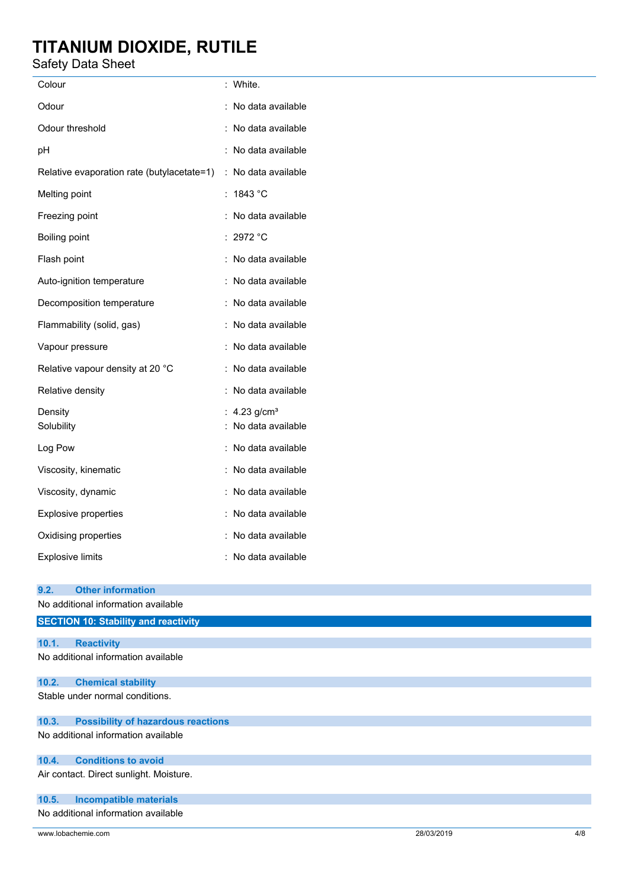## Safety Data Sheet

| Colour                                     |                      | White.                            |
|--------------------------------------------|----------------------|-----------------------------------|
| Odour                                      |                      | No data available                 |
| Odour threshold                            |                      | No data available                 |
| рH                                         |                      | No data available                 |
| Relative evaporation rate (butylacetate=1) | $\ddot{\phantom{0}}$ | No data available                 |
| Melting point                              |                      | 1843 °C                           |
| Freezing point                             |                      | No data available                 |
| <b>Boiling point</b>                       |                      | 2972 °C                           |
| Flash point                                |                      | No data available                 |
| Auto-ignition temperature                  |                      | No data available                 |
| Decomposition temperature                  |                      | No data available                 |
| Flammability (solid, gas)                  |                      | No data available                 |
| Vapour pressure                            |                      | No data available                 |
| Relative vapour density at 20 °C           |                      | No data available                 |
| Relative density                           |                      | No data available                 |
| Density<br>Solubility                      |                      | 4.23 $g/cm3$<br>No data available |
| Log Pow                                    |                      | No data available                 |
| Viscosity, kinematic                       |                      | No data available                 |
| Viscosity, dynamic                         |                      | No data available                 |
| <b>Explosive properties</b>                |                      | No data available                 |
| Oxidising properties                       |                      | No data available                 |
| <b>Explosive limits</b>                    |                      | No data available                 |

## **9.2. Other information**

|       | No additional information available         |  |  |  |
|-------|---------------------------------------------|--|--|--|
|       | <b>SECTION 10: Stability and reactivity</b> |  |  |  |
|       |                                             |  |  |  |
| 10.1. | <b>Reactivity</b>                           |  |  |  |
|       | No additional information available         |  |  |  |
| 10.2. | <b>Chemical stability</b>                   |  |  |  |
|       | Stable under normal conditions.             |  |  |  |
| 10.3. | <b>Possibility of hazardous reactions</b>   |  |  |  |
|       | No additional information available         |  |  |  |
| 10.4. | <b>Conditions to avoid</b>                  |  |  |  |
|       | Air contact. Direct sunlight. Moisture.     |  |  |  |
| 10.5. | <b>Incompatible materials</b>               |  |  |  |
|       | No additional information available         |  |  |  |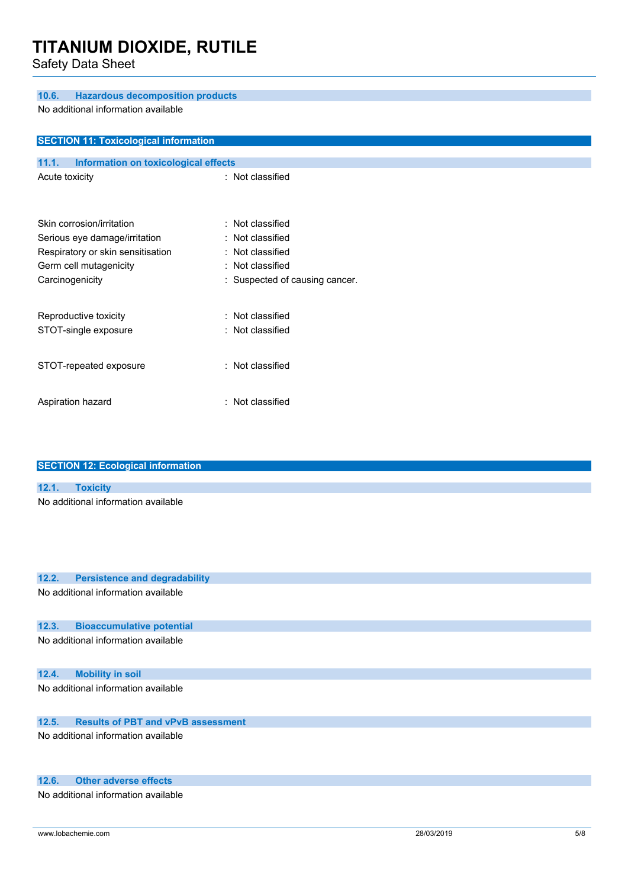Safety Data Sheet

#### **10.6. Hazardous decomposition products**

No additional information available

| <b>SECTION 11: Toxicological information</b>  |                                |  |  |  |
|-----------------------------------------------|--------------------------------|--|--|--|
|                                               |                                |  |  |  |
| Information on toxicological effects<br>11.1. |                                |  |  |  |
| Acute toxicity                                | : Not classified               |  |  |  |
|                                               |                                |  |  |  |
| Skin corrosion/irritation                     | : Not classified               |  |  |  |
|                                               |                                |  |  |  |
| Serious eye damage/irritation                 | : Not classified               |  |  |  |
| Respiratory or skin sensitisation             | : Not classified               |  |  |  |
| Germ cell mutagenicity                        | : Not classified               |  |  |  |
| Carcinogenicity                               | : Suspected of causing cancer. |  |  |  |
|                                               |                                |  |  |  |
| Reproductive toxicity                         | : Not classified               |  |  |  |
| STOT-single exposure                          | : Not classified               |  |  |  |
|                                               |                                |  |  |  |
|                                               |                                |  |  |  |
| STOT-repeated exposure                        | : Not classified               |  |  |  |
|                                               |                                |  |  |  |
| Aspiration hazard                             | : Not classified               |  |  |  |

| <b>SECTION 12: Ecological information</b> |                                     |  |  |  |
|-------------------------------------------|-------------------------------------|--|--|--|
|                                           |                                     |  |  |  |
| 12.1. Toxicity                            |                                     |  |  |  |
|                                           | No additional information available |  |  |  |
|                                           |                                     |  |  |  |
|                                           |                                     |  |  |  |
|                                           |                                     |  |  |  |

## **12.2. Persistence and degradability**

No additional information available

### **12.3. Bioaccumulative potential**

No additional information available

### **12.4. Mobility in soil**

No additional information available

## **12.5. Results of PBT and vPvB assessment**

No additional information available

## **12.6. Other adverse effects**

No additional information available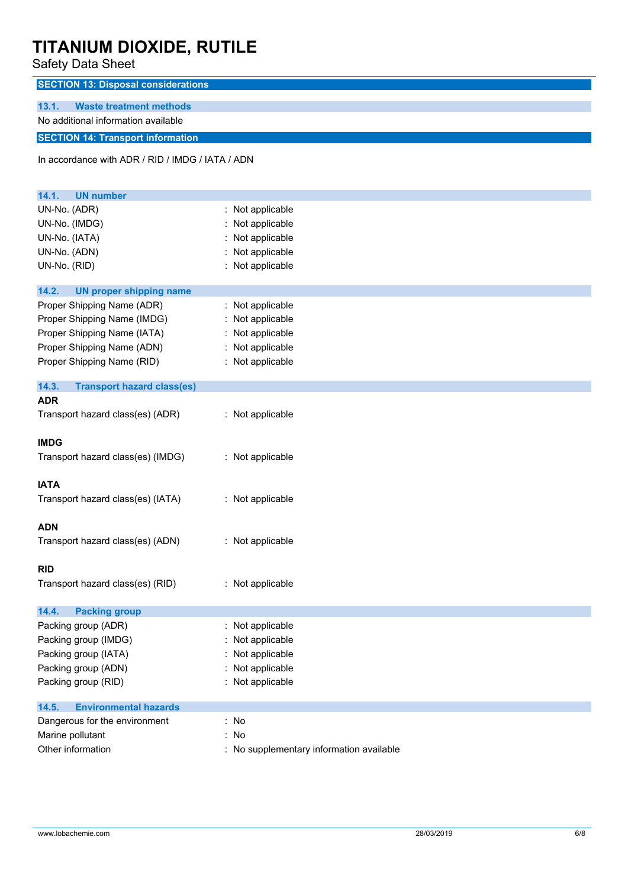Safety Data Sheet

| Salely Dala Sheet                                |                                          |  |  |
|--------------------------------------------------|------------------------------------------|--|--|
| <b>SECTION 13: Disposal considerations</b>       |                                          |  |  |
| 13.1.                                            |                                          |  |  |
| <b>Waste treatment methods</b>                   |                                          |  |  |
| No additional information available              |                                          |  |  |
| <b>SECTION 14: Transport information</b>         |                                          |  |  |
| In accordance with ADR / RID / IMDG / IATA / ADN |                                          |  |  |
|                                                  |                                          |  |  |
|                                                  |                                          |  |  |
| 14.1.<br><b>UN number</b>                        |                                          |  |  |
| UN-No. (ADR)                                     | : Not applicable                         |  |  |
| UN-No. (IMDG)                                    | Not applicable                           |  |  |
| UN-No. (IATA)                                    | : Not applicable                         |  |  |
| UN-No. (ADN)                                     | Not applicable                           |  |  |
| UN-No. (RID)                                     | : Not applicable                         |  |  |
| 14.2.<br><b>UN proper shipping name</b>          |                                          |  |  |
| Proper Shipping Name (ADR)                       | : Not applicable                         |  |  |
| Proper Shipping Name (IMDG)                      | : Not applicable                         |  |  |
| Proper Shipping Name (IATA)                      | : Not applicable                         |  |  |
| Proper Shipping Name (ADN)                       | : Not applicable                         |  |  |
| Proper Shipping Name (RID)                       | : Not applicable                         |  |  |
|                                                  |                                          |  |  |
| 14.3.<br><b>Transport hazard class(es)</b>       |                                          |  |  |
| <b>ADR</b>                                       |                                          |  |  |
| Transport hazard class(es) (ADR)                 | : Not applicable                         |  |  |
|                                                  |                                          |  |  |
| <b>IMDG</b>                                      |                                          |  |  |
| Transport hazard class(es) (IMDG)                | : Not applicable                         |  |  |
|                                                  |                                          |  |  |
| <b>IATA</b>                                      |                                          |  |  |
| Transport hazard class(es) (IATA)                | : Not applicable                         |  |  |
|                                                  |                                          |  |  |
| <b>ADN</b>                                       |                                          |  |  |
| Transport hazard class(es) (ADN)                 | : Not applicable                         |  |  |
|                                                  |                                          |  |  |
| <b>RID</b>                                       |                                          |  |  |
| Transport hazard class(es) (RID)                 | : Not applicable                         |  |  |
|                                                  |                                          |  |  |
| 14.4.<br><b>Packing group</b>                    |                                          |  |  |
| Packing group (ADR)                              | : Not applicable                         |  |  |
| Packing group (IMDG)                             | : Not applicable                         |  |  |
| Packing group (IATA)                             | Not applicable                           |  |  |
| Packing group (ADN)                              | : Not applicable                         |  |  |
| Packing group (RID)                              | : Not applicable                         |  |  |
| 14.5.<br><b>Environmental hazards</b>            |                                          |  |  |
| Dangerous for the environment                    | : No                                     |  |  |
| Marine pollutant                                 | : No                                     |  |  |
| Other information                                | : No supplementary information available |  |  |
|                                                  |                                          |  |  |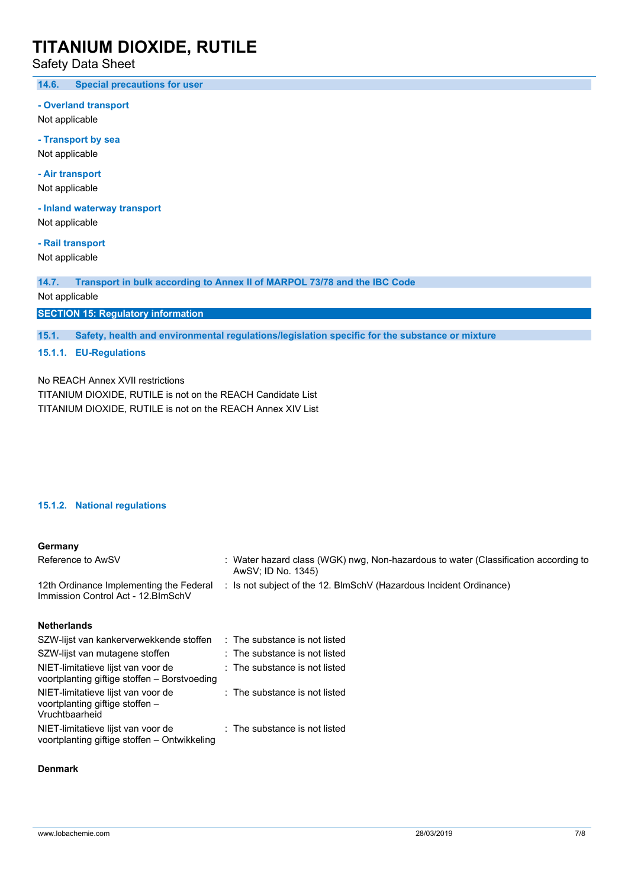Safety Data Sheet

**14.6. Special precautions for user**

**- Overland transport**

Not applicable

**- Transport by sea** Not applicable

**- Air transport**

Not applicable

**- Inland waterway transport**

Not applicable

**- Rail transport** Not applicable

**14.7. Transport in bulk according to Annex II of MARPOL 73/78 and the IBC Code**

Not applicable

**SECTION 15: Regulatory information**

**15.1. Safety, health and environmental regulations/legislation specific for the substance or mixture**

## **15.1.1. EU-Regulations**

No REACH Annex XVII restrictions TITANIUM DIOXIDE, RUTILE is not on the REACH Candidate List TITANIUM DIOXIDE, RUTILE is not on the REACH Annex XIV List

### **15.1.2. National regulations**

#### **Germany**

| Reference to AwSV                                                              | : Water hazard class (WGK) nwg, Non-hazardous to water (Classification according to<br>AwSV; ID No. 1345) |
|--------------------------------------------------------------------------------|-----------------------------------------------------------------------------------------------------------|
| 12th Ordinance Implementing the Federal<br>Immission Control Act - 12. BlmSchV | : Is not subject of the 12. BlmSchV (Hazardous Incident Ordinance)                                        |
| <b>Netherlands</b>                                                             |                                                                                                           |
| SZW-lijst van kankerverwekkende stoffen                                        | : The substance is not listed                                                                             |

| SZVV-IIISL VALI KALIKEI VELWEKKELIUE SIULIELI                                           | . THE SUDSIGNUE IS NOT INTER  |
|-----------------------------------------------------------------------------------------|-------------------------------|
| SZW-lijst van mutagene stoffen                                                          | : The substance is not listed |
| NIET-limitatieve lijst van voor de<br>voortplanting giftige stoffen - Borstvoeding      | : The substance is not listed |
| NIET-limitatieve lijst van voor de<br>voortplanting giftige stoffen -<br>Vruchtbaarheid | : The substance is not listed |
| NIET-limitatieve lijst van voor de<br>voortplanting giftige stoffen - Ontwikkeling      | : The substance is not listed |

#### **Denmark**